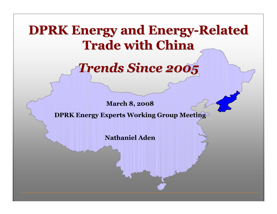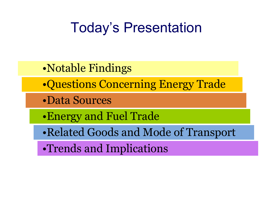# Today's Presentation

- •Notable Findings
- •Questions Concerning Energy Trade
- •Data Sources
- •Energy and Fuel Trade
- •Related Goods and Mode of Transport
- •Trends and Implications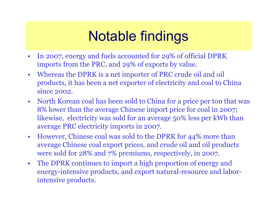# Notable findings

- $\bullet$  In 2007, energy and fuels accounted for 29% of official DPRK imports from the PRC, and 29% of exports by value.
- • Whereas the DPRK is a net importer of PRC crude oil and oil products, it has been a net exporter of electricity and coal to China since 2002.
- North Korean coal has been sold to China for a price per ton that was  $8\%$  lower than the average Chinese import price for coal in 2007: 8% lower than the average Chinese import price for coal in 2007; likewise, electricity was sold for an average 50% less per kWh than average PRC electricity imports in 2007.
- $\bullet$  However, Chinese coal was sold to the DPRK for 44% more than average Chinese coal export prices, and crude oil and oil products were sold for 28% and 7% premiums, respectively, in 2007.
- The DPRK continues to import a high proportion of energy and<br>energy-intensive products, and export natural-resource and labels energy-intensive products, and export natural-resource and laborintensive products.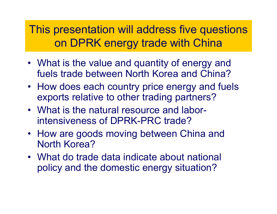This presentation will address five questions on DPRK energy trade with China

- What is the value and quantity of energy and<br>Fuels trade between Nerth Kerea and China? fuels trade between North Korea and China?
- How does each country price energy and fuels<br>experts relative to other trading partners? exports relative to other trading partners?
- What is the natural resource and labor-<br>intonsiveness of DPPK PPC trade? intensiveness of DPRK-PRC trade?
- How are goods moving between China and<br>North Kerea? North Korea?
- What do trade data indicate about national<br>enaliers and the demostic energy situation? policy and the domestic energy situation?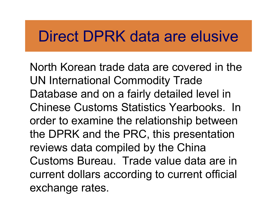# Direct DPRK data are elusive

North Korean trade data are covered in the UN International Commodity Trade Database and on a fairly detailed level in Chinese Customs Statistics Yearbooks. In order to examine the relationship between the DPRK and the PRC, this presentation reviews data compiled by the China Customs Bureau. Trade value data are in current dollars according to current official exchange rates.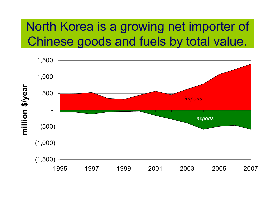### North Korea is a growing net importer of Chinese goods and fuels by total value.

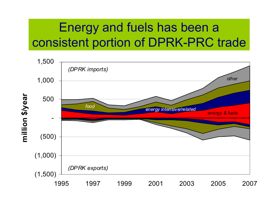## Energy and fuels has been a consistent portion of DPRK-PRC trade

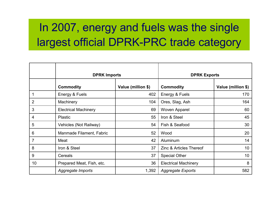### In 2007, energy and fuels was the single largest official DPRK-PRC trade category

|                | <b>DPRK Imports</b>         |                    | <b>DPRK Exports</b>                |                    |
|----------------|-----------------------------|--------------------|------------------------------------|--------------------|
|                | <b>Commodity</b>            | Value (million \$) | <b>Commodity</b>                   | Value (million \$) |
|                | Energy & Fuels              | 402                | Energy & Fuels                     | 170                |
| $\overline{2}$ | Machinery                   | 104                | Ores, Slag, Ash                    | 164                |
| 3              | <b>Electrical Machinery</b> | 69                 | Woven Apparel                      | 60                 |
| 4              | <b>Plastic</b>              | 55                 | Iron & Steel                       | 45                 |
| 5              | Vehicles (Not Railway)      | 54                 | Fish & Seafood                     | 30                 |
| 6              | Manmade Filament, Fabric    | 52                 | Wood                               | 20                 |
| $\overline{7}$ | Meat                        | 42                 | Aluminum                           | 14                 |
| 8              | Iron & Steel                | 37                 | <b>Zinc &amp; Articles Thereof</b> | 10                 |
| 9              | Cereals                     | 37                 | <b>Special Other</b>               | 10                 |
| 10             | Prepared Meat, Fish, etc.   | 36                 | <b>Electrical Machinery</b>        | 8                  |
|                | Aggregate Imports           | 1,392              | <b>Aggregate Exports</b>           | 582                |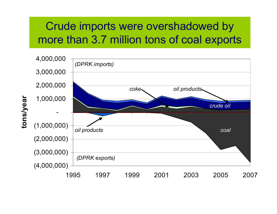### Crude imports were overshadowed by more than 3.7 million tons of coal exports



tons/year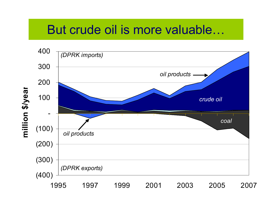### But crude oil is more valuable…

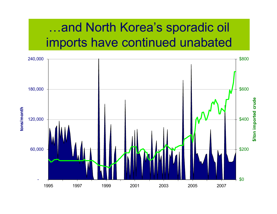### …and North Korea's sporadic oil imports have continued unabated

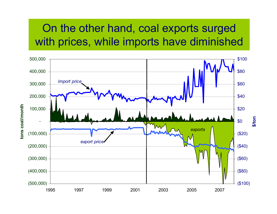#### On the other hand, coal exports surged with prices, while imports have diminished

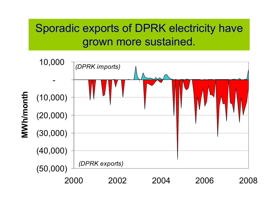### Sporadic exports of DPRK electricity have grown more sustained.

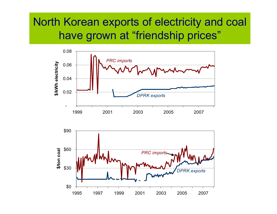#### North Korean exports of electricity and coal have grown at "friendship prices"



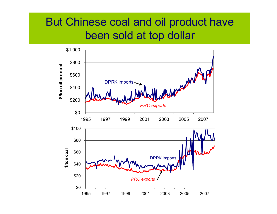#### But Chinese coal and oil product have been sold at top dollar

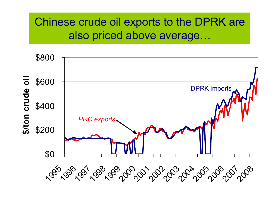### Chinese crude oil exports to the DPRK are also priced above average…

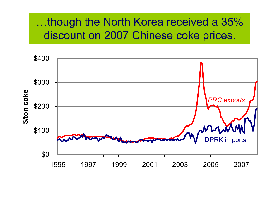#### …though the North Korea received a 35% discount on 2007 Chinese coke prices.

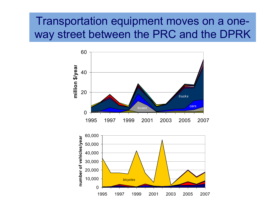#### Transportation equipment moves on a oneway street between the PRC and the DPRK

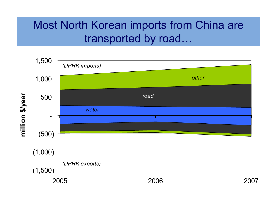#### Most North Korean imports from China are transported by road…

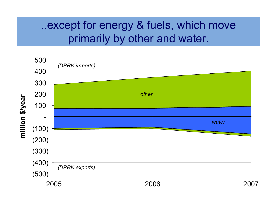#### ..except for energy & fuels, which move primarily by other and water.

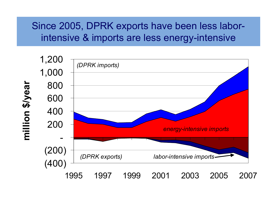#### Since 2005, DPRK exports have been less laborintensive & imports are less energy-intensive

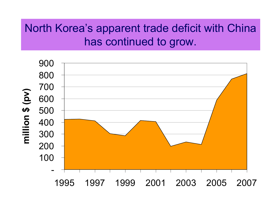#### North Korea's apparent trade deficit with China has continued to grow.

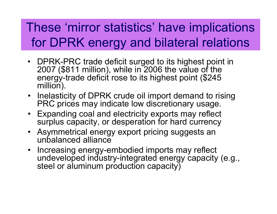## These 'mirror statistics' have implications for DPRK energy and bilateral relations

- DPRK-PRC trade deficit surged to its highest point in 2007 (\$811 million), while in 2006 the value of the energy-trade deficit rose to its highest point (\$245 million).
- Inelasticity of DPRK crude oil import demand to rising<br>PRC prices may indicate low discretionary usage PRC prices may indicate low discretionary usage.
- Expanding coal and electricity exports may reflect surplus capacity, or desperation for hard currency
- Asymmetrical energy export pricing suggests an<br>Funbalanced alliance unbalanced alliance
- Increasing energy-embodied imports may reflect undeveloped industry-integrated energy capacity (e.g., steel or aluminum production capacity)